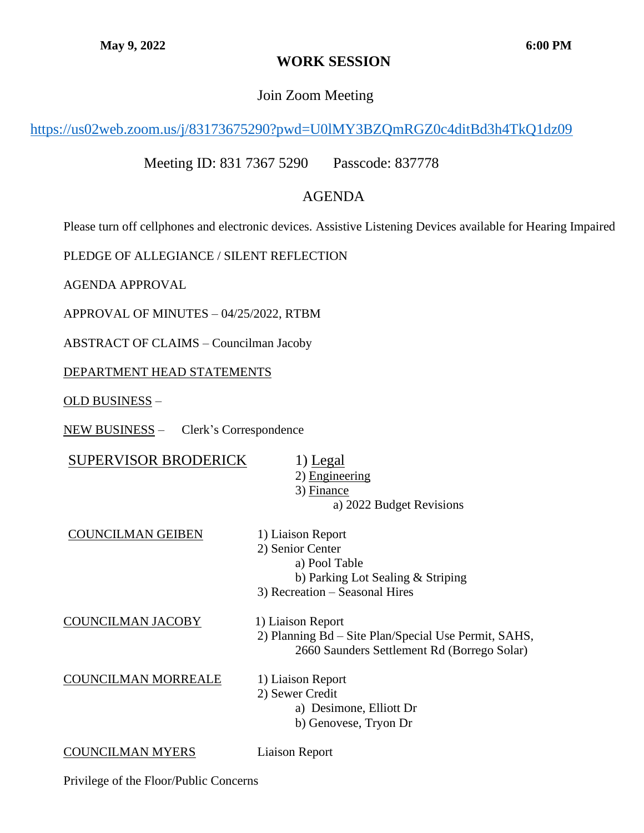# **WORK SESSION**

### Join Zoom Meeting

## <https://us02web.zoom.us/j/83173675290?pwd=U0lMY3BZQmRGZ0c4ditBd3h4TkQ1dz09>

Meeting ID: 831 7367 5290 Passcode: 837778

## AGENDA

Please turn off cellphones and electronic devices. Assistive Listening Devices available for Hearing Impaired

PLEDGE OF ALLEGIANCE / SILENT REFLECTION

AGENDA APPROVAL

APPROVAL OF MINUTES – 04/25/2022, RTBM

ABSTRACT OF CLAIMS – Councilman Jacoby

#### DEPARTMENT HEAD STATEMENTS

OLD BUSINESS –

NEW BUSINESS – Clerk's Correspondence

| <b>SUPERVISOR BRODERICK</b> | 1) Legal                                             |
|-----------------------------|------------------------------------------------------|
|                             | 2) Engineering                                       |
|                             | 3) Finance                                           |
|                             | a) 2022 Budget Revisions                             |
| <b>COUNCILMAN GEIBEN</b>    | 1) Liaison Report                                    |
|                             | 2) Senior Center                                     |
|                             | a) Pool Table                                        |
|                             | b) Parking Lot Sealing $&$ Striping                  |
|                             | 3) Recreation – Seasonal Hires                       |
| COUNCILMAN JACOBY           | 1) Liaison Report                                    |
|                             | 2) Planning Bd – Site Plan/Special Use Permit, SAHS, |
|                             | 2660 Saunders Settlement Rd (Borrego Solar)          |
| <b>COUNCILMAN MORREALE</b>  | 1) Liaison Report                                    |
|                             | 2) Sewer Credit                                      |
|                             | a) Desimone, Elliott Dr                              |
|                             | b) Genovese, Tryon Dr                                |
| <b>COUNCILMAN MYERS</b>     | Liaison Report                                       |

Privilege of the Floor/Public Concerns